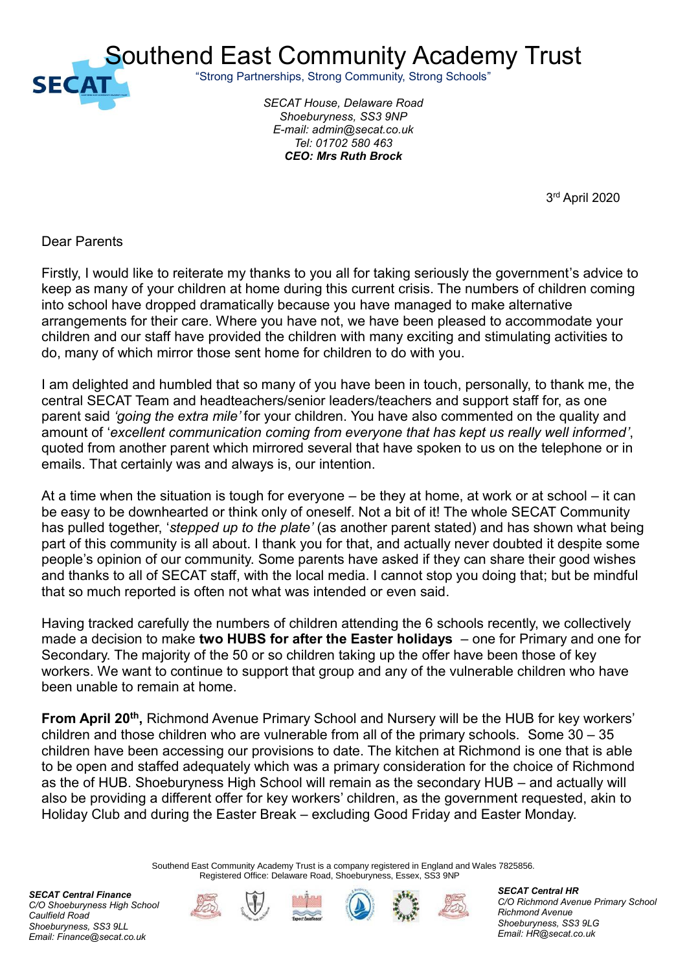

Southend East Community Academy Trust

"Strong Partnerships, Strong Community, Strong Schools"

*SECAT House, Delaware Road Shoeburyness, SS3 9NP E-mail: admin@secat.co.uk Tel: 01702 580 463 CEO: Mrs Ruth Brock*

 $\sim$  3 3rd April 2020

Dear Parents

Firstly, I would like to reiterate my thanks to you all for taking seriously the government's advice to keep as many of your children at home during this current crisis. The numbers of children coming into school have dropped dramatically because you have managed to make alternative arrangements for their care. Where you have not, we have been pleased to accommodate your children and our staff have provided the children with many exciting and stimulating activities to do, many of which mirror those sent home for children to do with you.

I am delighted and humbled that so many of you have been in touch, personally, to thank me, the central SECAT Team and headteachers/senior leaders/teachers and support staff for, as one parent said *'going the extra mile'* for your children. You have also commented on the quality and amount of '*excellent communication coming from everyone that has kept us really well informed'*, quoted from another parent which mirrored several that have spoken to us on the telephone or in emails. That certainly was and always is, our intention.

At a time when the situation is tough for everyone – be they at home, at work or at school – it can be easy to be downhearted or think only of oneself. Not a bit of it! The whole SECAT Community has pulled together, '*stepped up to the plate'* (as another parent stated) and has shown what being part of this community is all about. I thank you for that, and actually never doubted it despite some people's opinion of our community. Some parents have asked if they can share their good wishes and thanks to all of SECAT staff, with the local media. I cannot stop you doing that; but be mindful that so much reported is often not what was intended or even said.

Having tracked carefully the numbers of children attending the 6 schools recently, we collectively made a decision to make **two HUBS for after the Easter holidays** – one for Primary and one for Secondary. The majority of the 50 or so children taking up the offer have been those of key workers. We want to continue to support that group and any of the vulnerable children who have been unable to remain at home.

From April 20<sup>th</sup>, Richmond Avenue Primary School and Nursery will be the HUB for key workers' children and those children who are vulnerable from all of the primary schools. Some 30 – 35 children have been accessing our provisions to date. The kitchen at Richmond is one that is able to be open and staffed adequately which was a primary consideration for the choice of Richmond as the of HUB. Shoeburyness High School will remain as the secondary HUB – and actually will also be providing a different offer for key workers' children, as the government requested, akin to Holiday Club and during the Easter Break – excluding Good Friday and Easter Monday.

> Southend East Community Academy Trust is a company registered in England and Wales 7825856. Registered Office: Delaware Road, Shoeburyness, Essex, SS3 9NP

*SECAT Central Finance C/O Shoeburyness High School Caulfield Road Shoeburyness, SS3 9LL Email: Finance@secat.co.uk*









*SECAT Central HR C/O Richmond Avenue Primary School Richmond Avenue Shoeburyness, SS3 9LG Email: HR@secat.co.uk*